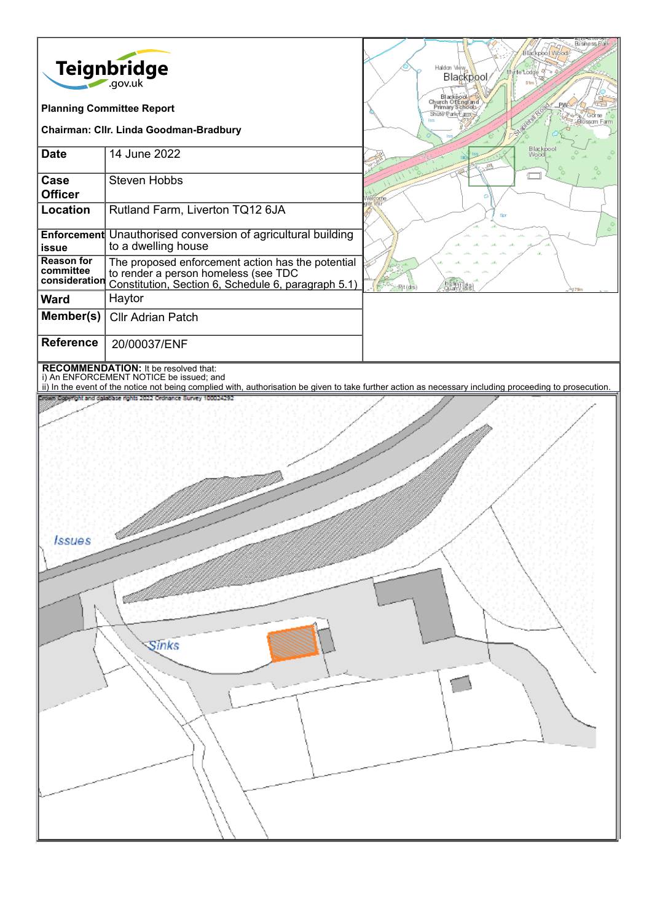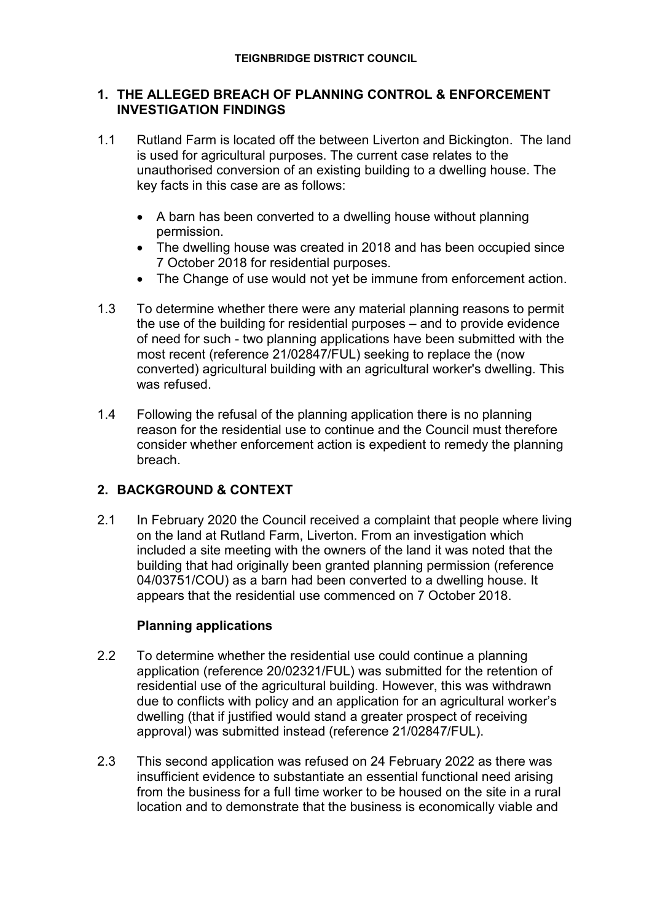## **1. THE ALLEGED BREACH OF PLANNING CONTROL & ENFORCEMENT INVESTIGATION FINDINGS**

- 1.1 Rutland Farm is located off the between Liverton and Bickington. The land is used for agricultural purposes. The current case relates to the unauthorised conversion of an existing building to a dwelling house. The key facts in this case are as follows:
	- A barn has been converted to a dwelling house without planning permission.
	- The dwelling house was created in 2018 and has been occupied since 7 October 2018 for residential purposes.
	- The Change of use would not yet be immune from enforcement action.
- 1.3 To determine whether there were any material planning reasons to permit the use of the building for residential purposes – and to provide evidence of need for such - two planning applications have been submitted with the most recent (reference 21/02847/FUL) seeking to replace the (now converted) agricultural building with an agricultural worker's dwelling. This was refused.
- 1.4 Following the refusal of the planning application there is no planning reason for the residential use to continue and the Council must therefore consider whether enforcement action is expedient to remedy the planning breach.

# **2. BACKGROUND & CONTEXT**

2.1 In February 2020 the Council received a complaint that people where living on the land at Rutland Farm, Liverton. From an investigation which included a site meeting with the owners of the land it was noted that the building that had originally been granted planning permission (reference 04/03751/COU) as a barn had been converted to a dwelling house. It appears that the residential use commenced on 7 October 2018.

# **Planning applications**

- 2.2 To determine whether the residential use could continue a planning application (reference 20/02321/FUL) was submitted for the retention of residential use of the agricultural building. However, this was withdrawn due to conflicts with policy and an application for an agricultural worker's dwelling (that if justified would stand a greater prospect of receiving approval) was submitted instead (reference 21/02847/FUL).
- 2.3 This second application was refused on 24 February 2022 as there was insufficient evidence to substantiate an essential functional need arising from the business for a full time worker to be housed on the site in a rural location and to demonstrate that the business is economically viable and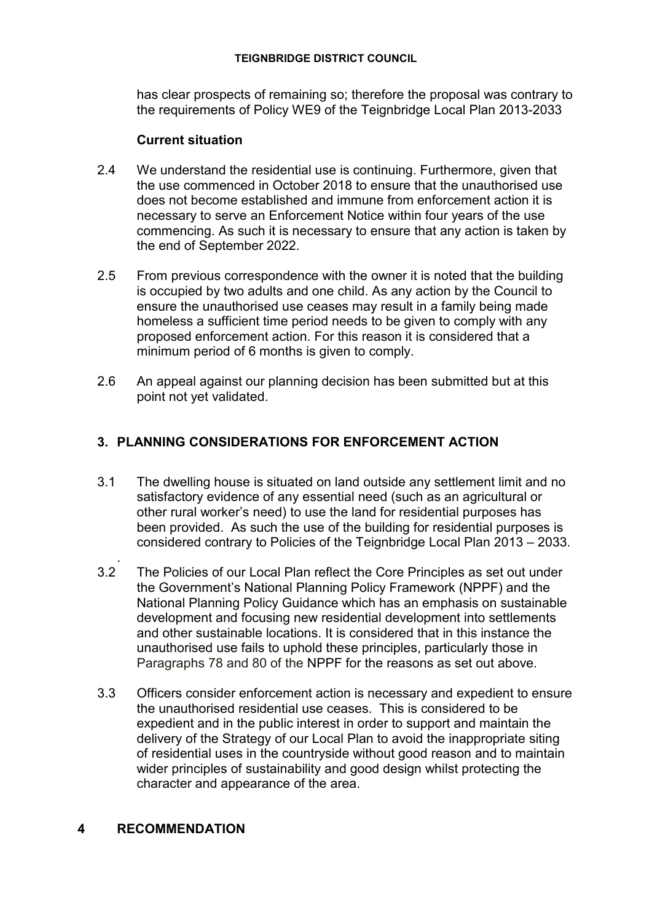#### **TEIGNBRIDGE DISTRICT COUNCIL**

has clear prospects of remaining so; therefore the proposal was contrary to the requirements of Policy WE9 of the Teignbridge Local Plan 2013-2033

### **Current situation**

- 2.4 We understand the residential use is continuing. Furthermore, given that the use commenced in October 2018 to ensure that the unauthorised use does not become established and immune from enforcement action it is necessary to serve an Enforcement Notice within four years of the use commencing. As such it is necessary to ensure that any action is taken by the end of September 2022.
- 2.5 From previous correspondence with the owner it is noted that the building is occupied by two adults and one child. As any action by the Council to ensure the unauthorised use ceases may result in a family being made homeless a sufficient time period needs to be given to comply with any proposed enforcement action. For this reason it is considered that a minimum period of 6 months is given to comply.
- 2.6 An appeal against our planning decision has been submitted but at this point not yet validated.

## **3. PLANNING CONSIDERATIONS FOR ENFORCEMENT ACTION**

- 3.1 The dwelling house is situated on land outside any settlement limit and no satisfactory evidence of any essential need (such as an agricultural or other rural worker's need) to use the land for residential purposes has been provided. As such the use of the building for residential purposes is considered contrary to Policies of the Teignbridge Local Plan 2013 – 2033.
- . 3.2 The Policies of our Local Plan reflect the Core Principles as set out under the Government's National Planning Policy Framework (NPPF) and the National Planning Policy Guidance which has an emphasis on sustainable development and focusing new residential development into settlements and other sustainable locations. It is considered that in this instance the unauthorised use fails to uphold these principles, particularly those in Paragraphs 78 and 80 of the NPPF for the reasons as set out above.
- 3.3 Officers consider enforcement action is necessary and expedient to ensure the unauthorised residential use ceases. This is considered to be expedient and in the public interest in order to support and maintain the delivery of the Strategy of our Local Plan to avoid the inappropriate siting of residential uses in the countryside without good reason and to maintain wider principles of sustainability and good design whilst protecting the character and appearance of the area.

### **4 RECOMMENDATION**